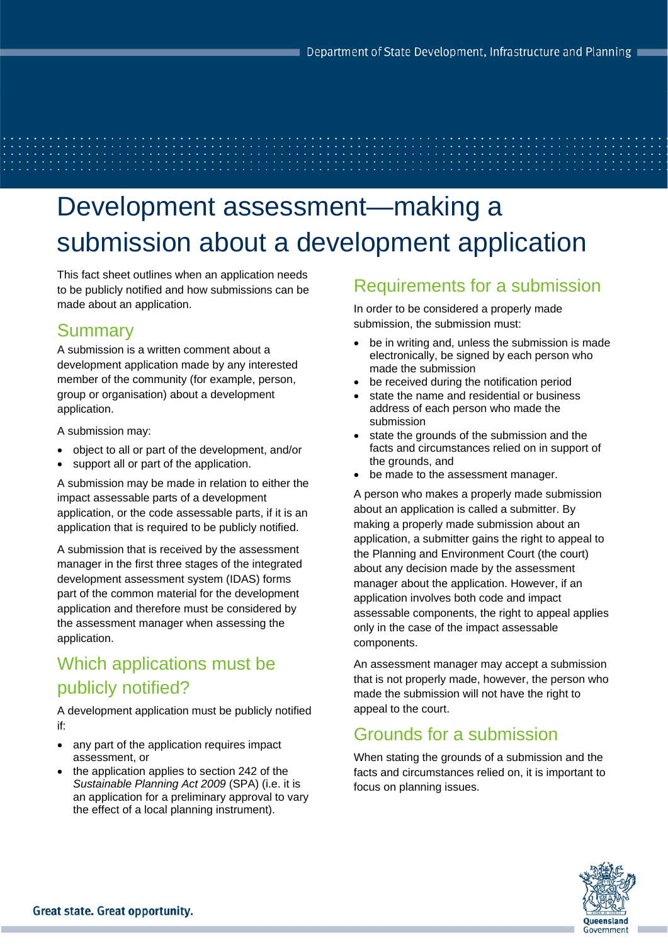# Development assessment—making a submission about a development application

This fact sheet outlines when an application needs to be publicly notified and how submissions can be made about an application.

## Summary

A submission is a written comment about a development application made by any interested member of the community (for example, person, group or organisation) about a development application.

A submission may:

- object to all or part of the development, and/or
- support all or part of the application.

A submission may be made in relation to either the impact assessable parts of a development application, or the code assessable parts, if it is an application that is required to be publicly notified.

A submission that is received by the assessment manager in the first three stages of the integrated development assessment system (IDAS) forms part of the common material for the development application and therefore must be considered by the assessment manager when assessing the application.

# Which applications must be publicly notified?

A development application must be publicly notified if:

- any part of the application requires impact assessment, or
- the application applies to section 242 of the *Sustainable Planning Act 2009* (SPA) (i.e. it is an application for a preliminary approval to vary the effect of a local planning instrument).

## Requirements for a submission

In order to be considered a properly made submission, the submission must:

- be in writing and, unless the submission is made electronically, be signed by each person who made the submission
- be received during the notification period
- state the name and residential or business address of each person who made the submission
- state the grounds of the submission and the facts and circumstances relied on in support of the grounds, and
- be made to the assessment manager.

A person who makes a properly made submission about an application is called a submitter. By making a properly made submission about an application, a submitter gains the right to appeal to the Planning and Environment Court (the court) about any decision made by the assessment manager about the application. However, if an application involves both code and impact assessable components, the right to appeal applies only in the case of the impact assessable components.

An assessment manager may accept a submission that is not properly made, however, the person who made the submission will not have the right to appeal to the court.

## Grounds for a submission

When stating the grounds of a submission and the facts and circumstances relied on, it is important to focus on planning issues.

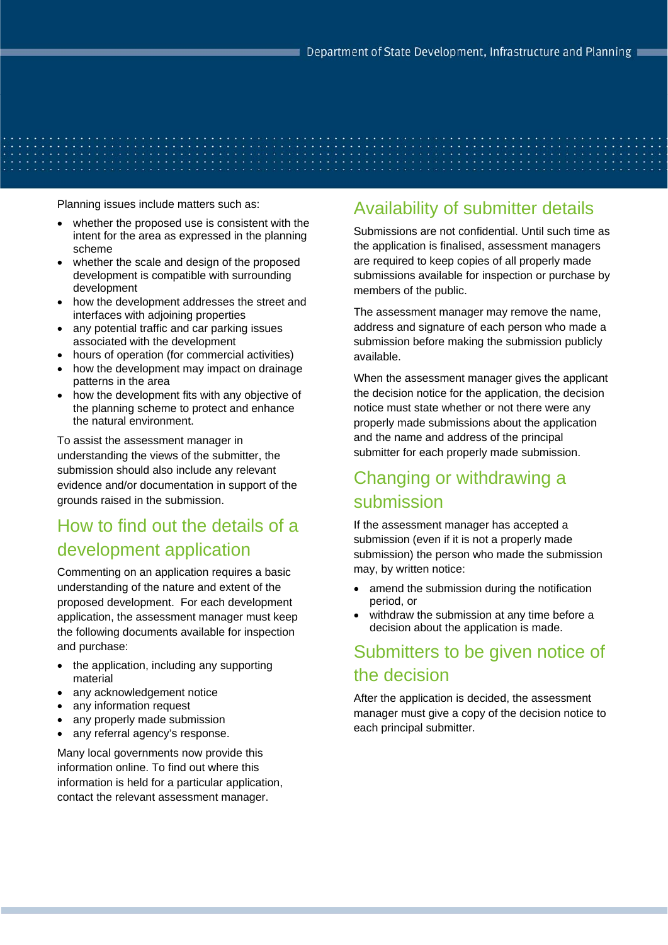Planning issues include matters such as:

- whether the proposed use is consistent with the intent for the area as expressed in the planning scheme
- whether the scale and design of the proposed development is compatible with surrounding development
- how the development addresses the street and interfaces with adjoining properties
- any potential traffic and car parking issues associated with the development
- hours of operation (for commercial activities)
- how the development may impact on drainage patterns in the area
- how the development fits with any objective of the planning scheme to protect and enhance the natural environment.

To assist the assessment manager in understanding the views of the submitter, the submission should also include any relevant evidence and/or documentation in support of the grounds raised in the submission.

# How to find out the details of a development application

Commenting on an application requires a basic understanding of the nature and extent of the proposed development. For each development application, the assessment manager must keep the following documents available for inspection and purchase:

- the application, including any supporting material
- any acknowledgement notice
- any information request
- any properly made submission
- any referral agency's response.

Many local governments now provide this information online. To find out where this information is held for a particular application, contact the relevant assessment manager.

#### Availability of submitter details

Submissions are not confidential. Until such time as the application is finalised, assessment managers are required to keep copies of all properly made submissions available for inspection or purchase by members of the public.

The assessment manager may remove the name, address and signature of each person who made a submission before making the submission publicly available.

When the assessment manager gives the applicant the decision notice for the application, the decision notice must state whether or not there were any properly made submissions about the application and the name and address of the principal submitter for each properly made submission.

## Changing or withdrawing a submission

If the assessment manager has accepted a submission (even if it is not a properly made submission) the person who made the submission may, by written notice:

- amend the submission during the notification period, or
- withdraw the submission at any time before a decision about the application is made.

## Submitters to be given notice of the decision

After the application is decided, the assessment manager must give a copy of the decision notice to each principal submitter.